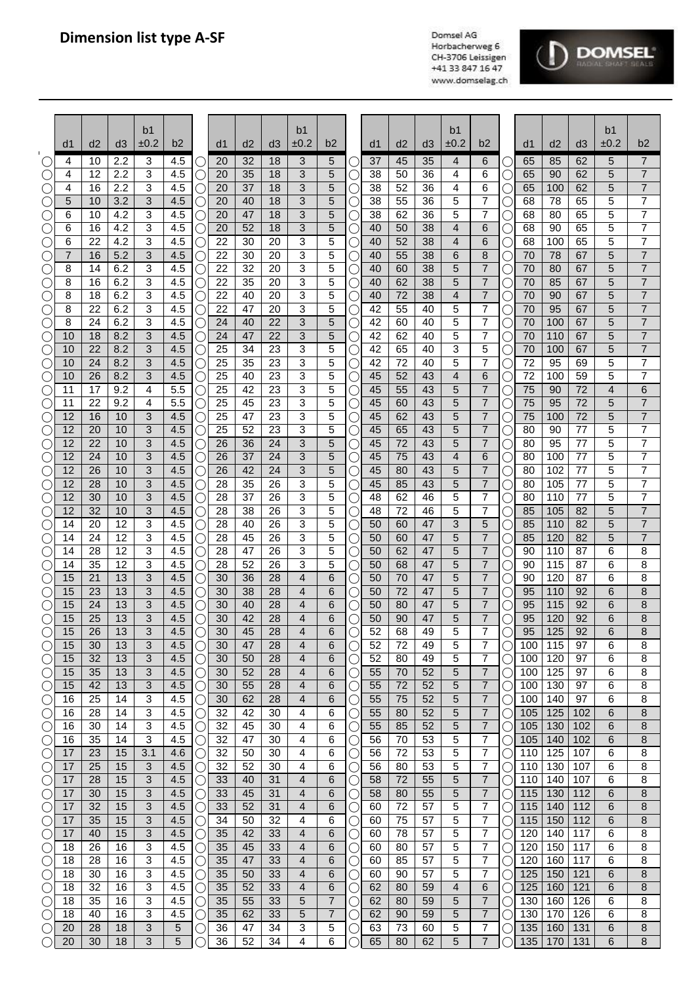

|             | d1             | d2       | d3         | b <sub>1</sub><br>±0.2 | b2         |           | d <sub>1</sub> | d2       | d <sub>3</sub> | b <sub>1</sub><br>±0.2 | b2     |     | d1       | d <sub>2</sub> | d3       | b <sub>1</sub><br>±0.2 | b2                               |                       | d1         | d2         | d3         | b1<br>±0.2          | b2                  |
|-------------|----------------|----------|------------|------------------------|------------|-----------|----------------|----------|----------------|------------------------|--------|-----|----------|----------------|----------|------------------------|----------------------------------|-----------------------|------------|------------|------------|---------------------|---------------------|
|             | 4              | 10       | 2.2        | 3                      | 4.5        |           | 20             | 32       | 18             | 3                      | 5      |     | 37       | 45             | 35       | 4                      | 6                                | C                     | 65         | 85         | 62         | 5                   | 7                   |
|             | 4              | 12       | 2.2        | 3                      | 4.5        | O         | 20             | 35       | 18             | 3                      | 5      |     | 38       | 50             | 36       | 4                      | 6                                | C                     | 65         | 90         | 62         | 5                   | $\overline{7}$      |
|             | 4              | 16       | 2.2        | 3                      | 4.5        | Ċ         | 20             | 37       | 18             | 3                      | 5      |     | 38       | 52             | 36       | 4                      | 6                                | Ċ                     | 65         | 100        | 62         | 5                   | $\overline{7}$      |
|             | 5              | 10       | 3.2        | 3                      | 4.5        |           | 20             | 40       | 18             | 3                      | 5      |     | 38       | 55             | 36       | 5                      | 7                                | Ċ                     | 68         | 78         | 65         | 5                   | 7                   |
|             | 6<br>6         | 10<br>16 | 4.2<br>4.2 | 3<br>3                 | 4.5<br>4.5 | U         | 20<br>20       | 47<br>52 | 18<br>18       | 3<br>3                 | 5<br>5 | C.  | 38<br>40 | 62<br>50       | 36<br>38 | 5<br>4                 | 7<br>6                           | С                     | 68<br>68   | 80<br>90   | 65<br>65   | 5<br>5              | 7<br>$\overline{7}$ |
|             | 6              | 22       | 4.2        | 3                      | 4.5        | O<br>C    | 22             | 30       | 20             | 3                      | 5      |     | 40       | 52             | 38       | 4                      | 6                                | С<br>С                | 68         | 100        | 65         | 5                   | $\overline{7}$      |
|             | $\overline{7}$ | 16       | 5.2        | 3                      | 4.5        |           | 22             | 30       | 20             | 3                      | 5      |     | 40       | 55             | 38       | 6                      | 8                                | С                     | 70         | 78         | 67         | 5                   | $\overline{7}$      |
| С           | 8              | 14       | 6.2        | 3                      | 4.5        | 0         | 22             | 32       | 20             | 3                      | 5      |     | 40       | 60             | 38       | 5                      | $\overline{7}$                   | С                     | 70         | 80         | 67         | 5                   | $\overline{7}$      |
| С           | 8              | 16       | 6.2        | 3                      | 4.5        | 0         | 22             | 35       | 20             | 3                      | 5      |     | 40       | 62             | 38       | 5                      | $\overline{7}$                   | C                     | 70         | 85         | 67         | 5                   | $\overline{7}$      |
| С.          | 8<br>8         | 18<br>22 | 6.2<br>6.2 | 3<br>3                 | 4.5<br>4.5 | 0         | 22<br>22       | 40<br>47 | 20<br>20       | 3<br>3                 | 5<br>5 |     | 40<br>42 | 72<br>55       | 38<br>40 | 4<br>5                 | $\overline{7}$<br>7              | С                     | 70<br>70   | 90<br>95   | 67<br>67   | 5<br>5              | 7<br>7              |
|             | 8              | 24       | 6.2        | 3                      | 4.5        | O         | 24             | 40       | 22             | 3                      | 5      |     | 42       | 60             | 40       | 5                      | 7                                | С<br>С                | 70         | 100        | 67         | 5                   | 7                   |
|             | 10             | 18       | 8.2        | 3                      | 4.5        |           | 24             | 47       | 22             | 3                      | 5      |     | 42       | 62             | 40       | 5                      | 7                                | C                     | 70         | 110        | 67         | 5                   | $\overline{7}$      |
|             | 10             | 22       | 8.2        | 3                      | 4.5        | $\subset$ | 25             | 34       | 23             | 3                      | 5      |     | 42       | 65             | 40       | 3                      | 5                                | Ċ                     | 70         | 100        | 67         | 5                   | $\overline{7}$      |
|             | 10             | 24       | 8.2        | 3                      | 4.5        | U         | 25             | 35       | 23             | 3                      | 5      |     | 42       | 72             | 40       | 5                      | 7                                | Ċ                     | 72         | 95         | 69         | 5                   | 7                   |
| C           | 10<br>11       | 26       | 8.2        | 3<br>4                 | 4.5        | Ċ         | 25             | 40       | 23             | 3                      | 5      |     | 45       | 52             | 43       | 4                      | 6                                | Ċ                     | 72         | 100        | 59<br>72   | 5<br>$\overline{4}$ | 7<br>$\overline{6}$ |
|             | 11             | 17<br>22 | 9.2<br>9.2 | 4                      | 5.5<br>5.5 | C<br>C    | 25<br>25       | 42<br>45 | 23<br>23       | 3<br>3                 | 5<br>5 |     | 45<br>45 | 55<br>60       | 43<br>43 | 5<br>5                 | 7<br>7                           | С<br>С                | 75<br>75   | 90<br>95   | 72         | 5                   | $\overline{7}$      |
|             | 12             | 16       | 10         | 3                      | 4.5        |           | 25             | 47       | 23             | 3                      | 5      |     | 45       | 62             | 43       | 5                      | $\overline{7}$                   | С                     | 75         | 100        | 72         | 5                   | $\overline{7}$      |
|             | 12             | 20       | 10         | 3                      | 4.5        | 0         | 25             | 52       | 23             | 3                      | 5      |     | 45       | 65             | 43       | 5                      | $\overline{7}$                   | С                     | 80         | 90         | 77         | 5                   | $\overline{7}$      |
|             | 12             | 22       | 10         | 3                      | 4.5        | 0         | 26             | 36       | 24             | 3                      | 5      |     | 45       | 72             | 43       | 5                      | 7                                | С                     | 80         | 95         | 77         | 5                   | $\overline{7}$      |
|             | 12             | 24       | 10         | 3                      | 4.5        |           | 26             | 37       | 24             | 3                      | 5      |     | 45       | 75             | 43       | 4                      | 6                                | C                     | 80         | 100        | 77         | 5                   | 7                   |
|             | 12<br>12       | 26<br>28 | 10<br>10   | 3<br>3                 | 4.5<br>4.5 |           | 26<br>28       | 42<br>35 | 24<br>26       | 3<br>3                 | 5<br>5 |     | 45<br>45 | 80<br>85       | 43<br>43 | 5<br>5                 | 7<br>7                           | С                     | 80<br>80   | 102<br>105 | 77<br>77   | 5<br>5              | 7<br>7              |
|             | 12             | 30       | 10         | 3                      | 4.5        | O<br>O    | 28             | 37       | 26             | 3                      | 5      |     | 48       | 62             | 46       | 5                      | 7                                | С<br>С                | 80         | 110        | 77         | 5                   | $\overline{7}$      |
|             | 12             | 32       | 10         | 3                      | 4.5        | O         | 28             | 38       | 26             | 3                      | 5      |     | 48       | 72             | 46       | 5                      | 7                                | С                     | 85         | 105        | 82         | 5                   | $\overline{7}$      |
|             | 14             | 20       | 12         | 3                      | 4.5        | U         | 28             | 40       | 26             | 3                      | 5      |     | 50       | 60             | 47       | 3                      | 5                                | Ċ                     | 85         | 110        | 82         | 5                   | $\overline{7}$      |
| C .         | 14             | 24       | 12         | 3                      | 4.5        | U         | 28             | 45       | 26             | 3                      | 5      |     | 50       | 60             | 47       | 5                      | $\overline{7}$                   | С                     | 85         | 120        | 82         | 5                   | $\overline{7}$      |
| $(\quad)$   | 14             | 28       | 12<br>12   | 3                      | 4.5        | U         | 28             | 47       | 26             | 3                      | 5      | ( . | 50       | 62             | 47       | 5                      | $\overline{7}$<br>$\overline{7}$ | С                     | 90         | 110        | 87         | 6                   | 8                   |
|             | 14<br>15       | 35<br>21 | 13         | 3<br>3                 | 4.5<br>4.5 | O         | 28<br>30       | 52<br>36 | 26<br>28       | 3<br>4                 | 5<br>6 |     | 50<br>50 | 68<br>70       | 47<br>47 | 5<br>5                 | $\overline{7}$                   | С<br>С                | 90<br>90   | 115<br>120 | 87<br>87   | 6<br>6              | 8<br>8              |
|             | 15             | 23       | 13         | 3                      | 4.5        |           | 30             | 38       | 28             | $\overline{4}$         | 6      |     | 50       | 72             | 47       | 5                      | $\overline{7}$                   | С                     | 95         | 110        | 92         | 6                   | 8                   |
|             | 15             | 24       | 13         | 3                      | 4.5        |           | 30             | 40       | 28             | 4                      | 6      |     | 50       | 80             | 47       | 5                      | $\overline{7}$                   | С                     | 95         | 115        | 92         | 6                   | 8                   |
| С           | 15             | 25       | 13         | 3                      | 4.5        | ↺         | 30             | 42       | 28             | 4                      | 6      |     | 50       | 90             | 47       | 5                      | $\overline{7}$                   | С                     | 95         | 120        | 92         | 6                   | 8                   |
| $\sqrt{ }$  | 15             | 26       | 13         | 3                      | 4.5        |           | 30             | 45       | 28             | $\overline{4}$         | 6      |     | 52       | 68             | 49       | 5                      | 7                                |                       | 95         | 125        | 92         | 6                   | 8                   |
|             | 15<br>15       | 30<br>32 | 13<br>13   | 3<br>3                 | 4.5<br>4.5 | О<br>O    | 30<br>30       | 47<br>50 | 28<br>28       | 4<br>4                 | 6<br>6 |     | 52<br>52 | 72<br>80       | 49<br>49 | 5<br>5                 | 7<br>7                           | ()                    | 100<br>100 | 115<br>120 | 97<br>97   | 6<br>6              | 8<br>8              |
|             | 15             | 35       | 13         | 3                      | 4.5        | C         | 30             | 52       | 28             | 4                      | 6      |     | 55       | 70             | 52       | 5                      | $\overline{7}$                   |                       | 100        | 125        | 97         | 6                   | 8                   |
|             | 15             | 42       | 13         | 3                      | 4.5        | U         | 30             | 55       | 28             | 4                      | 6      |     | 55       | 72             | 52       | 5                      | 7                                | C                     | 100        | 130        | 97         | 6                   | 8                   |
|             | 16             | 25       | 14         | 3                      | 4.5        | U         | 30             | 62       | 28             | 4                      | 6      |     | 55       | 75             | 52       | 5                      | 7                                | O                     | 100        | 140        | 97         | 6                   | 8                   |
| C           | 16             | 28       | 14         | 3                      | 4.5        | U         | 32             | 42       | 30             | 4                      | 6      |     | 55       | 80             | 52       | 5                      | $\overline{7}$                   | U                     | 105        | 125        | 102        | 6                   | 8                   |
| ⊖<br>⊖      | 16<br>16       | 30<br>35 | 14<br>14   | 3<br>3                 | 4.5<br>4.5 | С<br>О    | 32<br>32       | 45<br>47 | 30<br>30       | 4<br>4                 | 6<br>6 | C.  | 55<br>56 | 85<br>70       | 52<br>53 | 5<br>5                 | $\overline{7}$<br>7              | О<br>О                | 105<br>105 | 130<br>140 | 102<br>102 | 6<br>6              | 8<br>8              |
|             | 17             | 23       | 15         | 3.1                    | 4.6        | C         | 32             | 50       | 30             | 4                      | 6      |     | 56       | 72             | 53       | 5                      | 7                                | О                     | 110        | 125        | 107        | 6                   | 8                   |
| O           | 17             | 25       | 15         | 3                      | 4.5        | С         | 32             | 52       | 30             | 4                      | 6      |     | 56       | 80             | 53       | 5                      | 7                                | О                     | 110        | 130        | 107        | 6                   | 8                   |
| O           | 17             | 28       | 15         | 3                      | 4.5        |           | 33             | 40       | 31             | 4                      | 6      |     | 58       | 72             | 55       | 5                      | $\overline{7}$                   | O                     | 110        | 140        | 107        | 6                   | 8                   |
| O           | 17             | 30       | 15         | 3                      | 4.5        | ()        | 33             | 45       | 31             | 4                      | 6      |     | 58       | 80             | 55       | 5                      | $\overline{7}$                   | ()                    | 115        | 130        | 112        | 6                   | 8                   |
| ⊖           | 17             | 32       | 15         | 3                      | 4.5        | ()        | 33             | 52       | 31             | 4                      | 6      |     | 60       | 72             | 57       | 5                      | 7                                | ()                    | 115        | 140        | 112        | 6                   | 8                   |
| $(\ )$<br>⊖ | 17<br>17       | 35<br>40 | 15<br>15   | 3<br>3                 | 4.5<br>4.5 | O         | 34<br>35       | 50<br>42 | 32<br>33       | 4<br>4                 | 6<br>6 |     | 60<br>60 | 75<br>78       | 57<br>57 | 5<br>5                 | 7<br>7                           | $\left(\right)$<br>() | 115<br>120 | 150<br>140 | 112<br>117 | 6<br>6              | 8<br>8              |
| C           | 18             | 26       | 16         | 3                      | 4.5        | O         | 35             | 45       | 33             | 4                      | 6      |     | 60       | 80             | 57       | 5                      | 7                                | O                     | 120        | 150        | 117        | 6                   | 8                   |
| C           | 18             | 28       | 16         | 3                      | 4.5        | U         | 35             | 47       | 33             | 4                      | 6      |     | 60       | 85             | 57       | 5                      | 7                                | ( )                   | 120        | 160        | 117        | 6                   | 8                   |
| C           | 18             | 30       | 16         | 3                      | 4.5        | U         | 35             | 50       | 33             | 4                      | 6      |     | 60       | 90             | 57       | 5                      | 7                                | O                     | 125        | 150        | 121        | 6                   | 8                   |
| ⊖           | 18             | 32       | 16         | 3                      | 4.5        | O         | 35             | 52       | 33             | 4                      | 6      | (.  | 62       | 80             | 59       | 4                      | 6                                | ( )                   | 125        | 160        | 121        | 6                   | 8                   |
| $\bigcirc$  | 18<br>18       | 35<br>40 | 16<br>16   | 3<br>3                 | 4.5<br>4.5 | O         | 35<br>35       | 55<br>62 | 33<br>33       | 5<br>5                 | 7<br>7 |     | 62<br>62 | 80<br>90       | 59<br>59 | 5<br>5                 | 7<br>$\overline{7}$              | О<br>О                | 130<br>130 | 160<br>170 | 126<br>126 | 6<br>6              | 8<br>8              |
|             | 20             | 28       | 18         | 3                      | 5          | O         | 36             | 47       | 34             | 3                      | 5      |     | 63       | 73             | 60       | 5                      | 7                                | O                     | 135        | 160        | 131        | 6                   | 8                   |
|             | 20             | 30       | 18         | 3                      | 5          |           | 36             | 52       | 34             | 4                      | 6      |     | 65       | 80             | 62       | 5                      | $\overline{7}$                   |                       | 135        | 170        | 131        | 6                   | 8                   |